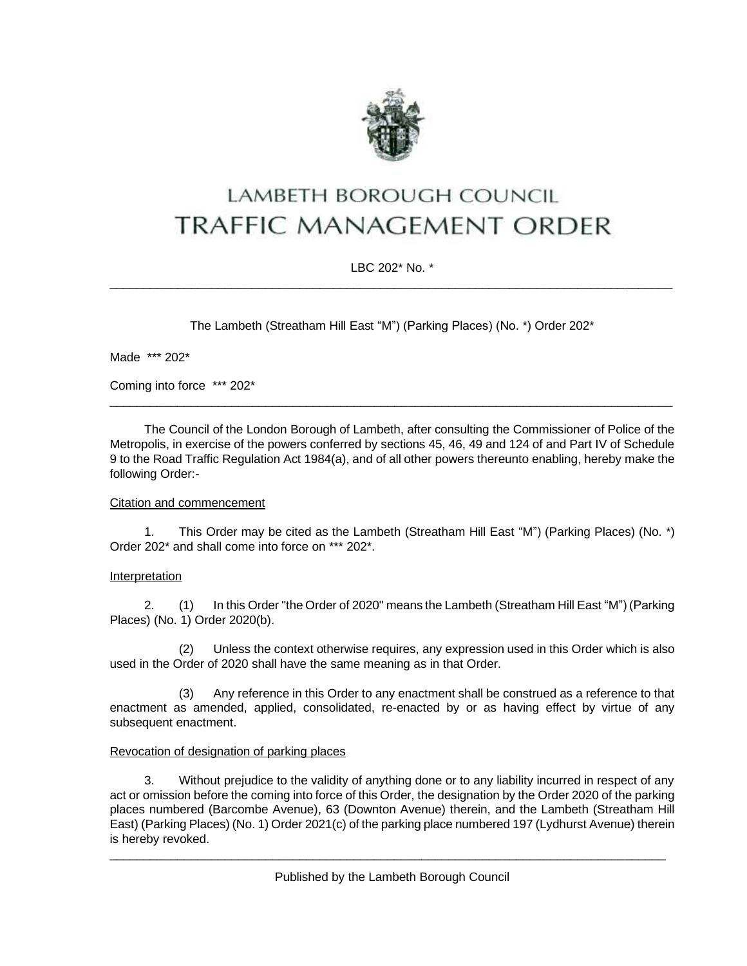

# LAMBETH BOROUGH COUNCIL **TRAFFIC MANAGEMENT ORDER**

# LBC 202\* No. \* \_\_\_\_\_\_\_\_\_\_\_\_\_\_\_\_\_\_\_\_\_\_\_\_\_\_\_\_\_\_\_\_\_\_\_\_\_\_\_\_\_\_\_\_\_\_\_\_\_\_\_\_\_\_\_\_\_\_\_\_\_\_\_\_\_\_\_\_\_\_\_\_\_\_\_\_\_\_\_\_\_\_\_

The Lambeth (Streatham Hill East "M") (Parking Places) (No. \*) Order 202\*

Made \*\*\* 202\*

Coming into force \*\*\* 202\*

The Council of the London Borough of Lambeth, after consulting the Commissioner of Police of the Metropolis, in exercise of the powers conferred by sections 45, 46, 49 and 124 of and Part IV of Schedule 9 to the Road Traffic Regulation Act 1984(a), and of all other powers thereunto enabling, hereby make the following Order:-

\_\_\_\_\_\_\_\_\_\_\_\_\_\_\_\_\_\_\_\_\_\_\_\_\_\_\_\_\_\_\_\_\_\_\_\_\_\_\_\_\_\_\_\_\_\_\_\_\_\_\_\_\_\_\_\_\_\_\_\_\_\_\_\_\_\_\_\_\_\_\_\_\_\_\_\_\_\_\_\_\_\_\_

# Citation and commencement

1. This Order may be cited as the Lambeth (Streatham Hill East "M") (Parking Places) (No. \*) Order 202\* and shall come into force on \*\*\* 202\*.

## Interpretation

2. (1) In this Order "the Order of 2020" means the Lambeth (Streatham Hill East "M") (Parking Places) (No. 1) Order 2020(b).

(2) Unless the context otherwise requires, any expression used in this Order which is also used in the Order of 2020 shall have the same meaning as in that Order.

(3) Any reference in this Order to any enactment shall be construed as a reference to that enactment as amended, applied, consolidated, re-enacted by or as having effect by virtue of any subsequent enactment.

# Revocation of designation of parking places

3. Without prejudice to the validity of anything done or to any liability incurred in respect of any act or omission before the coming into force of this Order, the designation by the Order 2020 of the parking places numbered (Barcombe Avenue), 63 (Downton Avenue) therein, and the Lambeth (Streatham Hill East) (Parking Places) (No. 1) Order 2021(c) of the parking place numbered 197 (Lydhurst Avenue) therein is hereby revoked.

\_\_\_\_\_\_\_\_\_\_\_\_\_\_\_\_\_\_\_\_\_\_\_\_\_\_\_\_\_\_\_\_\_\_\_\_\_\_\_\_\_\_\_\_\_\_\_\_\_\_\_\_\_\_\_\_\_\_\_\_\_\_\_\_\_\_\_\_\_\_\_\_\_\_\_\_\_\_\_\_\_\_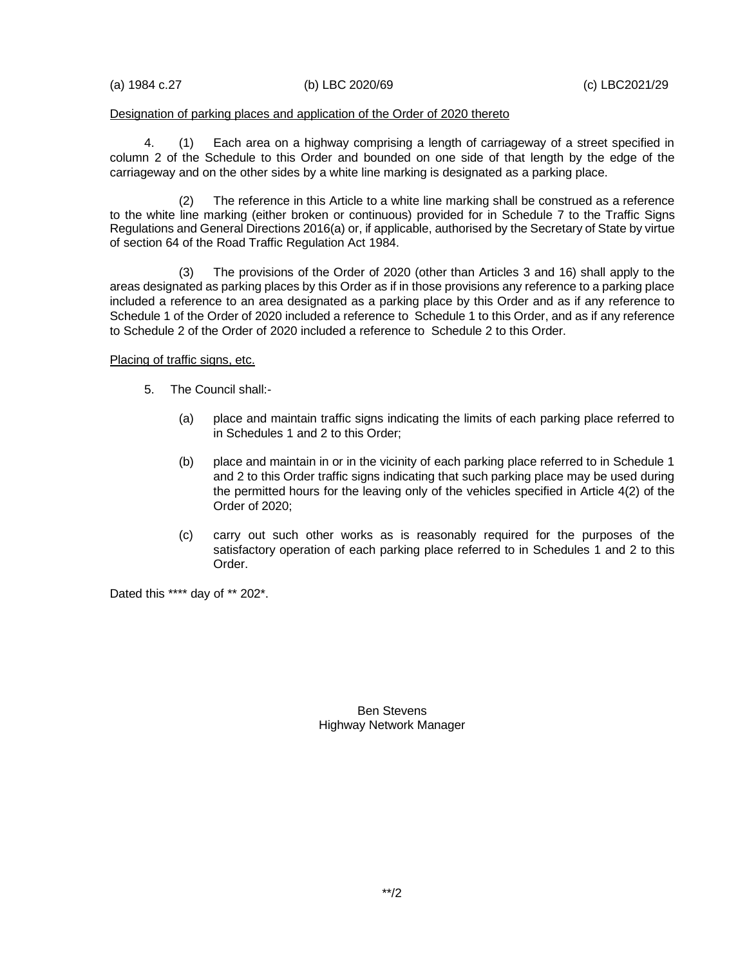(a) 1984 c.27 (b) LBC 2020/69 (c) LBC2021/29

#### Designation of parking places and application of the Order of 2020 thereto

4. (1) Each area on a highway comprising a length of carriageway of a street specified in column 2 of the Schedule to this Order and bounded on one side of that length by the edge of the carriageway and on the other sides by a white line marking is designated as a parking place.

(2) The reference in this Article to a white line marking shall be construed as a reference to the white line marking (either broken or continuous) provided for in Schedule 7 to the Traffic Signs Regulations and General Directions 2016(a) or, if applicable, authorised by the Secretary of State by virtue of section 64 of the Road Traffic Regulation Act 1984.

(3) The provisions of the Order of 2020 (other than Articles 3 and 16) shall apply to the areas designated as parking places by this Order as if in those provisions any reference to a parking place included a reference to an area designated as a parking place by this Order and as if any reference to Schedule 1 of the Order of 2020 included a reference to Schedule 1 to this Order, and as if any reference to Schedule 2 of the Order of 2020 included a reference to Schedule 2 to this Order.

#### Placing of traffic signs, etc.

- 5. The Council shall:-
	- (a) place and maintain traffic signs indicating the limits of each parking place referred to in Schedules 1 and 2 to this Order;
	- (b) place and maintain in or in the vicinity of each parking place referred to in Schedule 1 and 2 to this Order traffic signs indicating that such parking place may be used during the permitted hours for the leaving only of the vehicles specified in Article 4(2) of the Order of 2020;
	- (c) carry out such other works as is reasonably required for the purposes of the satisfactory operation of each parking place referred to in Schedules 1 and 2 to this Order.

Dated this \*\*\*\* day of \*\* 202\*.

Ben Stevens Highway Network Manager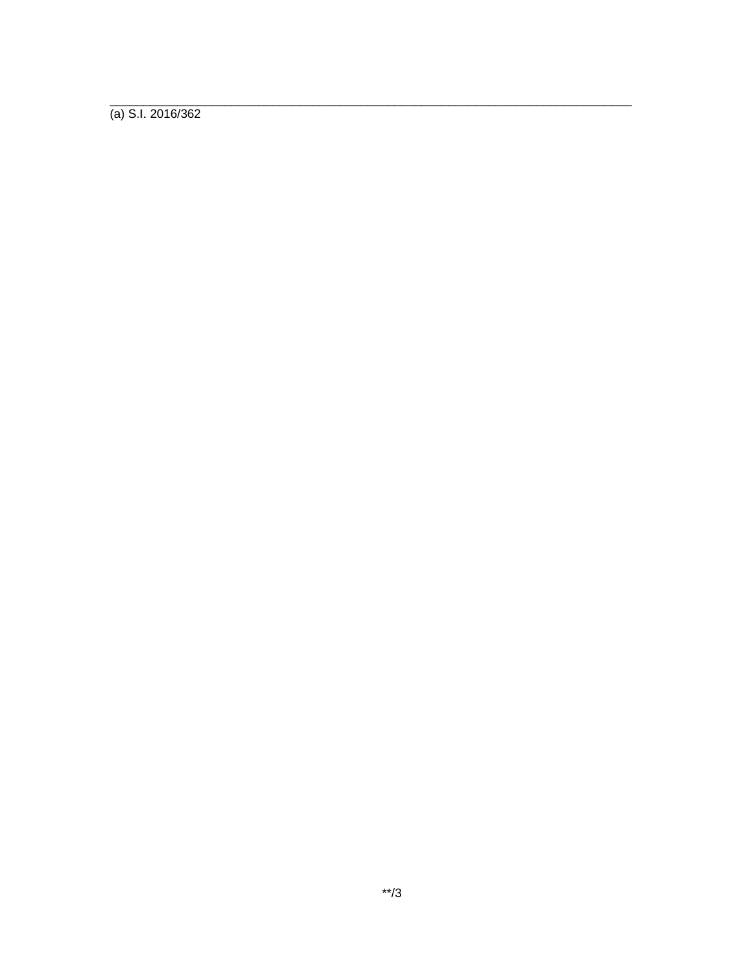$(a)$  S.I. 2016/362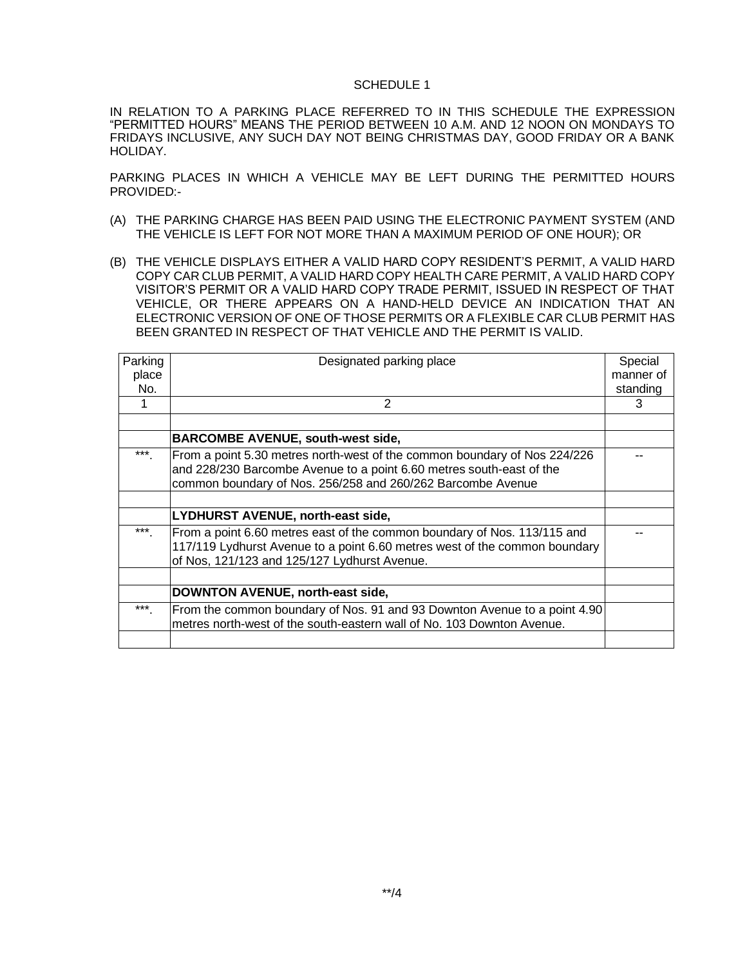### SCHEDULE 1

IN RELATION TO A PARKING PLACE REFERRED TO IN THIS SCHEDULE THE EXPRESSION "PERMITTED HOURS" MEANS THE PERIOD BETWEEN 10 A.M. AND 12 NOON ON MONDAYS TO FRIDAYS INCLUSIVE, ANY SUCH DAY NOT BEING CHRISTMAS DAY, GOOD FRIDAY OR A BANK HOLIDAY.

PARKING PLACES IN WHICH A VEHICLE MAY BE LEFT DURING THE PERMITTED HOURS PROVIDED:-

- (A) THE PARKING CHARGE HAS BEEN PAID USING THE ELECTRONIC PAYMENT SYSTEM (AND THE VEHICLE IS LEFT FOR NOT MORE THAN A MAXIMUM PERIOD OF ONE HOUR); OR
- (B) THE VEHICLE DISPLAYS EITHER A VALID HARD COPY RESIDENT'S PERMIT, A VALID HARD COPY CAR CLUB PERMIT, A VALID HARD COPY HEALTH CARE PERMIT, A VALID HARD COPY VISITOR'S PERMIT OR A VALID HARD COPY TRADE PERMIT, ISSUED IN RESPECT OF THAT VEHICLE, OR THERE APPEARS ON A HAND-HELD DEVICE AN INDICATION THAT AN ELECTRONIC VERSION OF ONE OF THOSE PERMITS OR A FLEXIBLE CAR CLUB PERMIT HAS BEEN GRANTED IN RESPECT OF THAT VEHICLE AND THE PERMIT IS VALID.

| Parking | Designated parking place                                                   | Special   |
|---------|----------------------------------------------------------------------------|-----------|
| place   |                                                                            | manner of |
| No.     |                                                                            | standing  |
|         | 2                                                                          | 3         |
|         |                                                                            |           |
|         | <b>BARCOMBE AVENUE, south-west side,</b>                                   |           |
| $***$   | From a point 5.30 metres north-west of the common boundary of Nos 224/226  |           |
|         | and 228/230 Barcombe Avenue to a point 6.60 metres south-east of the       |           |
|         | common boundary of Nos. 256/258 and 260/262 Barcombe Avenue                |           |
|         |                                                                            |           |
|         | <b>LYDHURST AVENUE, north-east side,</b>                                   |           |
| $***$   | From a point 6.60 metres east of the common boundary of Nos. 113/115 and   |           |
|         | 117/119 Lydhurst Avenue to a point 6.60 metres west of the common boundary |           |
|         | of Nos, 121/123 and 125/127 Lydhurst Avenue.                               |           |
|         |                                                                            |           |
|         | DOWNTON AVENUE, north-east side,                                           |           |
| $***$   | From the common boundary of Nos. 91 and 93 Downton Avenue to a point 4.90  |           |
|         | metres north-west of the south-eastern wall of No. 103 Downton Avenue.     |           |
|         |                                                                            |           |